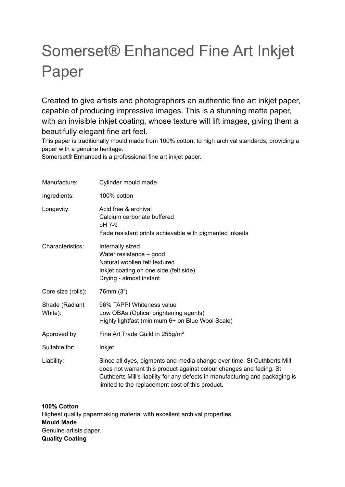# Somerset® Enhanced Fine Art Inkjet Paper

Created to give artists and photographers an authentic fine art inkjet paper, capable of producing impressive images. This is a stunning matte paper, with an invisible inkjet coating, whose texture will lift images, giving them a beautifully elegant fine art feel.

This paper is traditionally mould made from 100% cotton, to high archival standards, providing a paper with a genuine heritage.

Somerset® Enhanced is a professional fine art inkjet paper.

| Manufacture:              | Cylinder mould made                                                                                                                                                                                                                                                               |
|---------------------------|-----------------------------------------------------------------------------------------------------------------------------------------------------------------------------------------------------------------------------------------------------------------------------------|
| Ingredients:              | 100% cotton                                                                                                                                                                                                                                                                       |
| Longevity:                | Acid free & archival<br>Calcium carbonate buffered<br>pH 7-9<br>Fade resistant prints achievable with pigmented inksets                                                                                                                                                           |
| Characteristics:          | Internally sized<br>Water resistance - good<br>Natural woollen felt textured<br>Inkjet coating on one side (felt side)<br>Drying - almost instant                                                                                                                                 |
| Core size (rolls):        | 76mm (3")                                                                                                                                                                                                                                                                         |
| Shade (Radiant<br>White): | 96% TAPPI Whiteness value<br>Low OBAs (Optical brightening agents)<br>Highly lightfast (minimum 6+ on Blue Wool Scale)                                                                                                                                                            |
| Approved by:              | Fine Art Trade Guild in 255g/m <sup>2</sup>                                                                                                                                                                                                                                       |
| Suitable for:             | Inkjet                                                                                                                                                                                                                                                                            |
| Liability:                | Since all dyes, pigments and media change over time, St Cuthberts Mill<br>does not warrant this product against colour changes and fading. St<br>Cuthberts Mill's liability for any defects in manufacturing and packaging is<br>limited to the replacement cost of this product. |

**100% Cotton** Highest quality papermaking material with excellent archival properties. **Mould Made** Genuine artists paper. **Quality Coating**